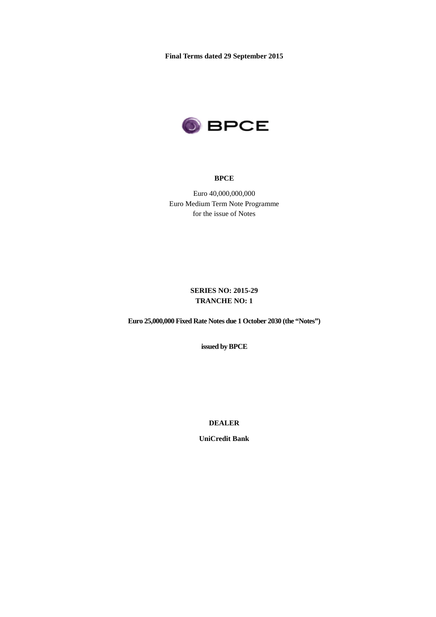**Final Terms dated 29 September 2015**



#### **BPCE**

Euro 40,000,000,000 Euro Medium Term Note Programme for the issue of Notes

## **SERIES NO: 2015-29 TRANCHE NO: 1**

**Euro 25,000,000 Fixed Rate Notes due 1 October 2030 (the "Notes")**

**issued by BPCE**

**DEALER**

**UniCredit Bank**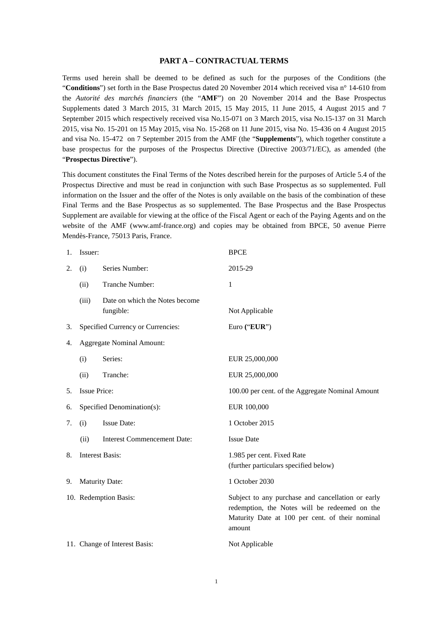#### **PART A – CONTRACTUAL TERMS**

Terms used herein shall be deemed to be defined as such for the purposes of the Conditions (the "**Conditions**") set forth in the Base Prospectus dated 20 November 2014 which received visa n° 14-610 from the *Autorité des marchés financiers* (the "**AMF**") on 20 November 2014 and the Base Prospectus Supplements dated 3 March 2015, 31 March 2015, 15 May 2015, 11 June 2015, 4 August 2015 and 7 September 2015 which respectively received visa No.15-071 on 3 March 2015, visa No.15-137 on 31 March 2015, visa No. 15-201 on 15 May 2015, visa No. 15-268 on 11 June 2015, visa No. 15-436 on 4 August 2015 and visa No. 15-472 on 7 September 2015 from the AMF (the "**Supplements**"), which together constitute a base prospectus for the purposes of the Prospectus Directive (Directive 2003/71/EC), as amended (the "**Prospectus Directive**").

This document constitutes the Final Terms of the Notes described herein for the purposes of Article 5.4 of the Prospectus Directive and must be read in conjunction with such Base Prospectus as so supplemented. Full information on the Issuer and the offer of the Notes is only available on the basis of the combination of these Final Terms and the Base Prospectus as so supplemented. The Base Prospectus and the Base Prospectus Supplement are available for viewing at the office of the Fiscal Agent or each of the Paying Agents and on the website of the AMF (www.amf-france.org) and copies may be obtained from BPCE, 50 avenue Pierre Mendès-France, 75013 Paris, France.

| 1. | Issuer:                          |                                             | <b>BPCE</b>                                                                                                                                                     |  |
|----|----------------------------------|---------------------------------------------|-----------------------------------------------------------------------------------------------------------------------------------------------------------------|--|
| 2. | (i)                              | Series Number:                              | 2015-29                                                                                                                                                         |  |
|    | (ii)                             | Tranche Number:                             | 1                                                                                                                                                               |  |
|    | (iii)                            | Date on which the Notes become<br>fungible: | Not Applicable                                                                                                                                                  |  |
| 3. |                                  | Specified Currency or Currencies:           | Euro ("EUR")                                                                                                                                                    |  |
| 4. | <b>Aggregate Nominal Amount:</b> |                                             |                                                                                                                                                                 |  |
|    | (i)                              | Series:                                     | EUR 25,000,000                                                                                                                                                  |  |
|    | (ii)                             | Tranche:                                    | EUR 25,000,000                                                                                                                                                  |  |
| 5. | <b>Issue Price:</b>              |                                             | 100.00 per cent. of the Aggregate Nominal Amount                                                                                                                |  |
| 6. | Specified Denomination(s):       |                                             | EUR 100,000                                                                                                                                                     |  |
| 7. | (i)                              | <b>Issue Date:</b>                          | 1 October 2015                                                                                                                                                  |  |
|    | (ii)                             | <b>Interest Commencement Date:</b>          | <b>Issue Date</b>                                                                                                                                               |  |
| 8. | <b>Interest Basis:</b>           |                                             | 1.985 per cent. Fixed Rate<br>(further particulars specified below)                                                                                             |  |
| 9. | <b>Maturity Date:</b>            |                                             | 1 October 2030                                                                                                                                                  |  |
|    | 10. Redemption Basis:            |                                             | Subject to any purchase and cancellation or early<br>redemption, the Notes will be redeemed on the<br>Maturity Date at 100 per cent. of their nominal<br>amount |  |
|    | 11. Change of Interest Basis:    |                                             | Not Applicable                                                                                                                                                  |  |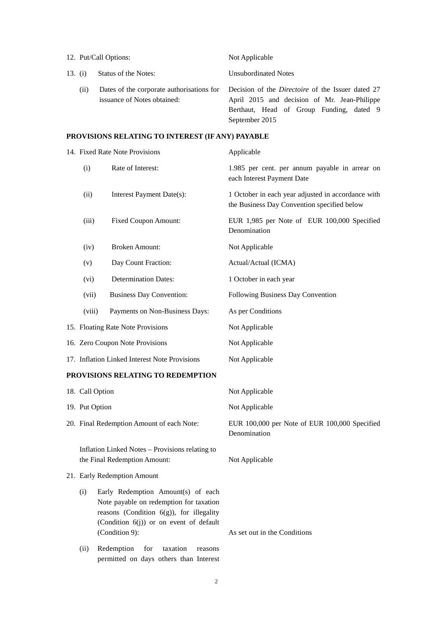|         |     | 12. Put/Call Options:       | Not Applicable                                                                                                                                                                                                   |
|---------|-----|-----------------------------|------------------------------------------------------------------------------------------------------------------------------------------------------------------------------------------------------------------|
| 13. (i) |     | Status of the Notes:        | Unsubordinated Notes                                                                                                                                                                                             |
|         | (i) | issuance of Notes obtained: | Dates of the corporate authorisations for Decision of the <i>Directoire</i> of the Issuer dated 27<br>April 2015 and decision of Mr. Jean-Philippe<br>Berthaut, Head of Group Funding, dated 9<br>September 2015 |

# **PROVISIONS RELATING TO INTEREST (IF ANY) PAYABLE**

|                 | 14. Fixed Rate Note Provisions                                                                                                                                                            | Applicable                                                                                        |
|-----------------|-------------------------------------------------------------------------------------------------------------------------------------------------------------------------------------------|---------------------------------------------------------------------------------------------------|
| (i)             | Rate of Interest:                                                                                                                                                                         | 1.985 per cent. per annum payable in arrear on<br>each Interest Payment Date                      |
| (ii)            | Interest Payment Date(s):                                                                                                                                                                 | 1 October in each year adjusted in accordance with<br>the Business Day Convention specified below |
| (iii)           | <b>Fixed Coupon Amount:</b>                                                                                                                                                               | EUR 1,985 per Note of EUR 100,000 Specified<br>Denomination                                       |
| (iv)            | <b>Broken Amount:</b>                                                                                                                                                                     | Not Applicable                                                                                    |
| (v)             | Day Count Fraction:                                                                                                                                                                       | Actual/Actual (ICMA)                                                                              |
| (vi)            | <b>Determination Dates:</b>                                                                                                                                                               | 1 October in each year                                                                            |
| (vii)           | <b>Business Day Convention:</b>                                                                                                                                                           | Following Business Day Convention                                                                 |
| (viii)          | Payments on Non-Business Days:                                                                                                                                                            | As per Conditions                                                                                 |
|                 | 15. Floating Rate Note Provisions                                                                                                                                                         | Not Applicable                                                                                    |
|                 | 16. Zero Coupon Note Provisions                                                                                                                                                           | Not Applicable                                                                                    |
|                 | 17. Inflation Linked Interest Note Provisions                                                                                                                                             | Not Applicable                                                                                    |
|                 | PROVISIONS RELATING TO REDEMPTION                                                                                                                                                         |                                                                                                   |
| 18. Call Option |                                                                                                                                                                                           | Not Applicable                                                                                    |
| 19. Put Option  |                                                                                                                                                                                           | Not Applicable                                                                                    |
|                 | 20. Final Redemption Amount of each Note:                                                                                                                                                 | EUR 100,000 per Note of EUR 100,000 Specified<br>Denomination                                     |
|                 | Inflation Linked Notes - Provisions relating to<br>the Final Redemption Amount:                                                                                                           | Not Applicable                                                                                    |
|                 | 21. Early Redemption Amount                                                                                                                                                               |                                                                                                   |
| (i)             | Early Redemption Amount(s) of each<br>Note payable on redemption for taxation<br>reasons (Condition $6(g)$ ), for illegality<br>(Condition 6(j)) or on event of default<br>(Condition 9): | As set out in the Conditions                                                                      |
| (ii)            | Redemption<br>for<br>taxation<br>reasons<br>permitted on days others than Interest                                                                                                        |                                                                                                   |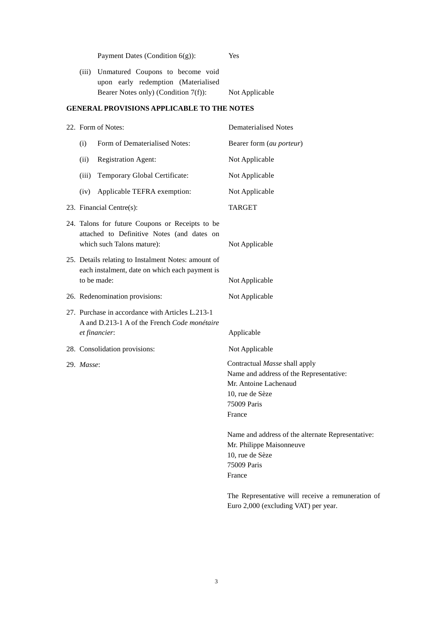|            | Payment Dates (Condition $6(g)$ ):                                                                                          | Yes                                                                                                                                           |
|------------|-----------------------------------------------------------------------------------------------------------------------------|-----------------------------------------------------------------------------------------------------------------------------------------------|
| (iii)      | Unmatured Coupons to become void<br>upon early redemption (Materialised<br>Bearer Notes only) (Condition 7(f)):             | Not Applicable                                                                                                                                |
|            | <b>GENERAL PROVISIONS APPLICABLE TO THE NOTES</b>                                                                           |                                                                                                                                               |
|            | 22. Form of Notes:                                                                                                          | <b>Dematerialised Notes</b>                                                                                                                   |
| (i)        | Form of Dematerialised Notes:                                                                                               | Bearer form (au porteur)                                                                                                                      |
| (ii)       | <b>Registration Agent:</b>                                                                                                  | Not Applicable                                                                                                                                |
| (iii)      | Temporary Global Certificate:                                                                                               | Not Applicable                                                                                                                                |
| (iv)       | Applicable TEFRA exemption:                                                                                                 | Not Applicable                                                                                                                                |
|            | 23. Financial Centre(s):                                                                                                    | <b>TARGET</b>                                                                                                                                 |
|            | 24. Talons for future Coupons or Receipts to be<br>attached to Definitive Notes (and dates on<br>which such Talons mature): | Not Applicable                                                                                                                                |
|            | 25. Details relating to Instalment Notes: amount of<br>each instalment, date on which each payment is<br>to be made:        | Not Applicable                                                                                                                                |
|            | 26. Redenomination provisions:                                                                                              | Not Applicable                                                                                                                                |
|            | 27. Purchase in accordance with Articles L.213-1<br>A and D.213-1 A of the French Code monétaire<br>et financier:           | Applicable                                                                                                                                    |
|            | 28. Consolidation provisions:                                                                                               | Not Applicable                                                                                                                                |
| 29. Masse: |                                                                                                                             | Contractual Masse shall apply<br>Name and address of the Representative:<br>Mr. Antoine Lachenaud<br>10, rue de Sèze<br>75009 Paris<br>France |
|            |                                                                                                                             | Name and address of the alternate Representative:<br>Mr. Philippe Maisonneuve<br>10, rue de Sèze<br>75009 Paris<br>France                     |
|            |                                                                                                                             | The Representative will receive a remuneration of<br>Euro 2,000 (excluding VAT) per year.                                                     |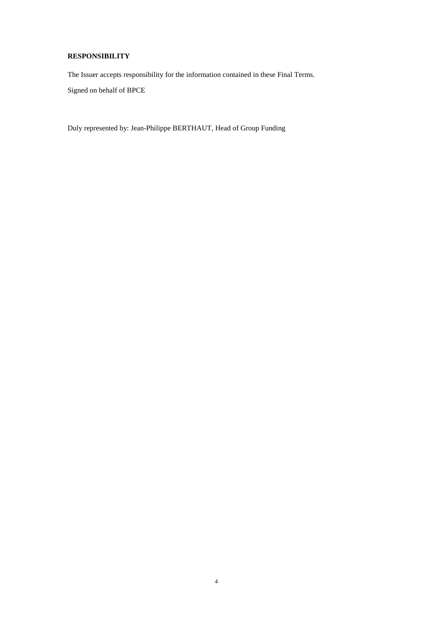### **RESPONSIBILITY**

The Issuer accepts responsibility for the information contained in these Final Terms. Signed on behalf of BPCE

Duly represented by: Jean-Philippe BERTHAUT, Head of Group Funding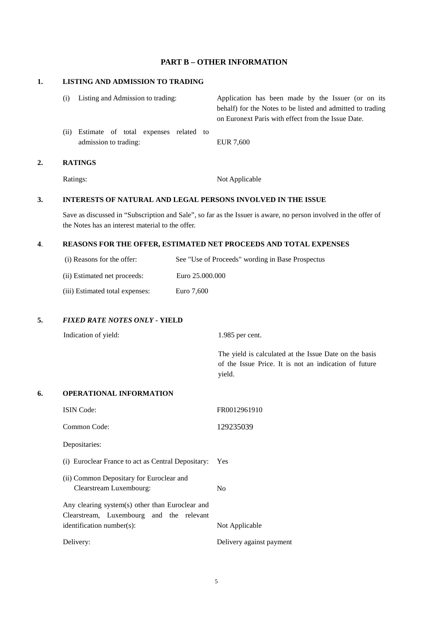### **PART B – OTHER INFORMATION**

#### **1. LISTING AND ADMISSION TO TRADING**

| (i) | Listing and Admission to trading:                              | Application has been made by the Issuer (or on its<br>behalf) for the Notes to be listed and admitted to trading<br>on Euronext Paris with effect from the Issue Date. |
|-----|----------------------------------------------------------------|------------------------------------------------------------------------------------------------------------------------------------------------------------------------|
| (i) | Estimate of total expenses related to<br>admission to trading: | EUR 7,600                                                                                                                                                              |
|     | <b>RATINGS</b>                                                 |                                                                                                                                                                        |

Ratings: Not Applicable

# **3. INTERESTS OF NATURAL AND LEGAL PERSONS INVOLVED IN THE ISSUE**

Save as discussed in "Subscription and Sale", so far as the Issuer is aware, no person involved in the offer of the Notes has an interest material to the offer.

#### **4**. **REASONS FOR THE OFFER, ESTIMATED NET PROCEEDS AND TOTAL EXPENSES**

| (i) Reasons for the offer:      | See "Use of Proceeds" wording in Base Prospectus |
|---------------------------------|--------------------------------------------------|
| (ii) Estimated net proceeds:    | Euro 25.000.000                                  |
| (iii) Estimated total expenses: | Euro 7,600                                       |

### **5.** *FIXED RATE NOTES ONLY* **- YIELD**

|    | Indication of yield:           | 1.985 per cent.                                                                                                           |
|----|--------------------------------|---------------------------------------------------------------------------------------------------------------------------|
|    |                                | The yield is calculated at the Issue Date on the basis<br>of the Issue Price. It is not an indication of future<br>yield. |
| 6. | <b>OPERATIONAL INFORMATION</b> |                                                                                                                           |
|    | <b>ISIN</b> Code:              | FR0012961910                                                                                                              |
|    | Common Code:                   | 129235039                                                                                                                 |
|    | Depositaries:                  |                                                                                                                           |
|    |                                |                                                                                                                           |

- (i) Euroclear France to act as Central Depositary: Yes
- (ii) Common Depositary for Euroclear and Clearstream Luxembourg: No

Any clearing system(s) other than Euroclear and Clearstream, Luxembourg and the relevant identification number(s): Not Applicable

Delivery: Delivery against payment

5